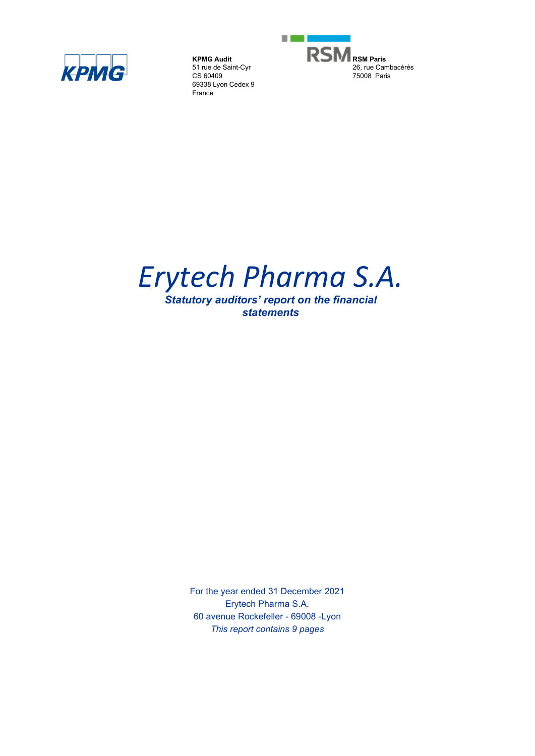

**KPMG Audit** 51 rue de Saint-Cyr CS 60409 69338 Lyon Cedex 9 France



# *Erytech Pharma S.A.*

*Statutory auditors' report on the financial statements*

> For the year ended 31 December 2021 Erytech Pharma S.A. 60 avenue Rockefeller - 69008 -Lyon *This report contains 9 pages*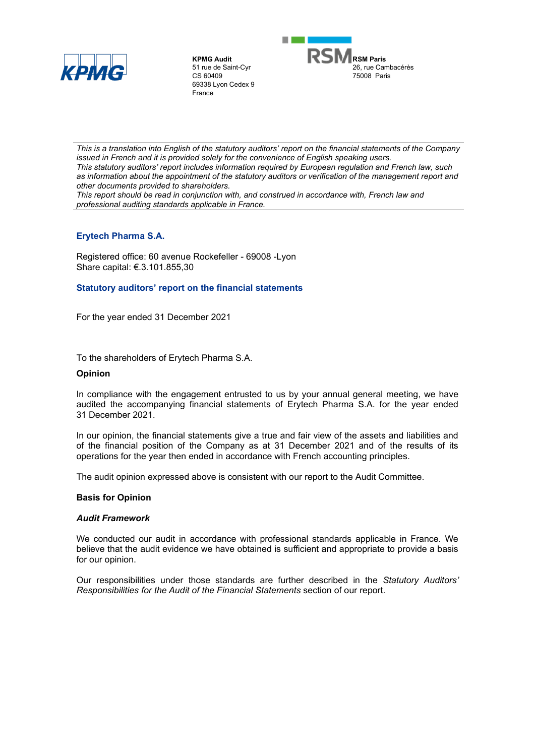

**KPMG Audit** 51 rue de Saint-Cyr CS 60409 69338 Lyon Cedex 9 France



*This is a translation into English of the statutory auditors' report on the financial statements of the Company issued in French and it is provided solely for the convenience of English speaking users. This statutory auditors' report includes information required by European regulation and French law, such*  as information about the appointment of the statutory auditors or verification of the management report and *other documents provided to shareholders.*

*This report should be read in conjunction with, and construed in accordance with, French law and professional auditing standards applicable in France.*

# **Erytech Pharma S.A.**

Registered office: 60 avenue Rockefeller - 69008 -Lyon Share capital: €.3.101.855,30

## **Statutory auditors' report on the financial statements**

For the year ended 31 December 2021

To the shareholders of Erytech Pharma S.A.

#### **Opinion**

In compliance with the engagement entrusted to us by your annual general meeting, we have audited the accompanying financial statements of Erytech Pharma S.A. for the year ended 31 December 2021.

In our opinion, the financial statements give a true and fair view of the assets and liabilities and of the financial position of the Company as at 31 December 2021 and of the results of its operations for the year then ended in accordance with French accounting principles.

The audit opinion expressed above is consistent with our report to the Audit Committee.

## **Basis for Opinion**

#### *Audit Framework*

We conducted our audit in accordance with professional standards applicable in France. We believe that the audit evidence we have obtained is sufficient and appropriate to provide a basis for our opinion.

Our responsibilities under those standards are further described in the *Statutory Auditors' Responsibilities for the Audit of the Financial Statements* section of our report.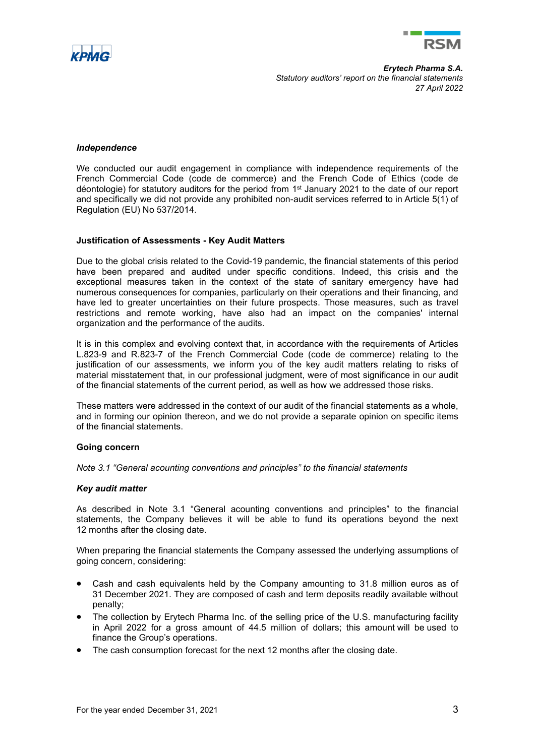



#### *Independence*

We conducted our audit engagement in compliance with independence requirements of the French Commercial Code (code de commerce) and the French Code of Ethics (code de déontologie) for statutory auditors for the period from 1st January 2021 to the date of our report and specifically we did not provide any prohibited non-audit services referred to in Article 5(1) of Regulation (EU) No 537/2014.

#### **Justification of Assessments - Key Audit Matters**

Due to the global crisis related to the Covid-19 pandemic, the financial statements of this period have been prepared and audited under specific conditions. Indeed, this crisis and the exceptional measures taken in the context of the state of sanitary emergency have had numerous consequences for companies, particularly on their operations and their financing, and have led to greater uncertainties on their future prospects. Those measures, such as travel restrictions and remote working, have also had an impact on the companies' internal organization and the performance of the audits.

It is in this complex and evolving context that, in accordance with the requirements of Articles L.823-9 and R.823-7 of the French Commercial Code (code de commerce) relating to the justification of our assessments, we inform you of the key audit matters relating to risks of material misstatement that, in our professional judgment, were of most significance in our audit of the financial statements of the current period, as well as how we addressed those risks.

These matters were addressed in the context of our audit of the financial statements as a whole, and in forming our opinion thereon, and we do not provide a separate opinion on specific items of the financial statements.

## **Going concern**

*Note 3.1 "General acounting conventions and principles" to the financial statements*

#### *Key audit matter*

As described in Note 3.1 "General acounting conventions and principles" to the financial statements, the Company believes it will be able to fund its operations beyond the next 12 months after the closing date.

When preparing the financial statements the Company assessed the underlying assumptions of going concern, considering:

- Cash and cash equivalents held by the Company amounting to 31.8 million euros as of 31 December 2021. They are composed of cash and term deposits readily available without penalty;
- The collection by Erytech Pharma Inc. of the selling price of the U.S. manufacturing facility in April 2022 for a gross amount of 44.5 million of dollars; this amount will be used to finance the Group's operations.
- The cash consumption forecast for the next 12 months after the closing date.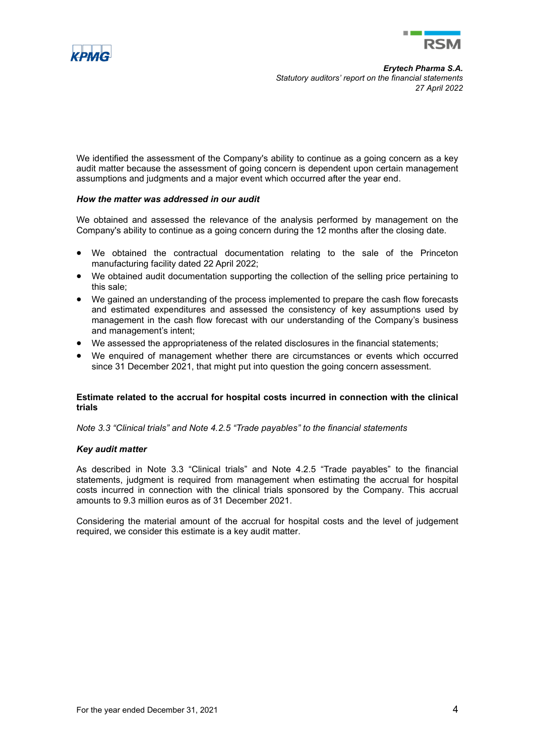



We identified the assessment of the Company's ability to continue as a going concern as a key audit matter because the assessment of going concern is dependent upon certain management assumptions and judgments and a major event which occurred after the year end.

## *How the matter was addressed in our audit*

We obtained and assessed the relevance of the analysis performed by management on the Company's ability to continue as a going concern during the 12 months after the closing date.

- We obtained the contractual documentation relating to the sale of the Princeton manufacturing facility dated 22 April 2022;
- We obtained audit documentation supporting the collection of the selling price pertaining to this sale;
- We gained an understanding of the process implemented to prepare the cash flow forecasts and estimated expenditures and assessed the consistency of key assumptions used by management in the cash flow forecast with our understanding of the Company's business and management's intent;
- We assessed the appropriateness of the related disclosures in the financial statements;
- We enquired of management whether there are circumstances or events which occurred since 31 December 2021, that might put into question the going concern assessment.

## **Estimate related to the accrual for hospital costs incurred in connection with the clinical trials**

*Note 3.3 "Clinical trials" and Note 4.2.5 "Trade payables" to the financial statements* 

# *Key audit matter*

As described in Note 3.3 "Clinical trials" and Note 4.2.5 "Trade payables" to the financial statements, judgment is required from management when estimating the accrual for hospital costs incurred in connection with the clinical trials sponsored by the Company. This accrual amounts to 9.3 million euros as of 31 December 2021.

Considering the material amount of the accrual for hospital costs and the level of judgement required, we consider this estimate is a key audit matter.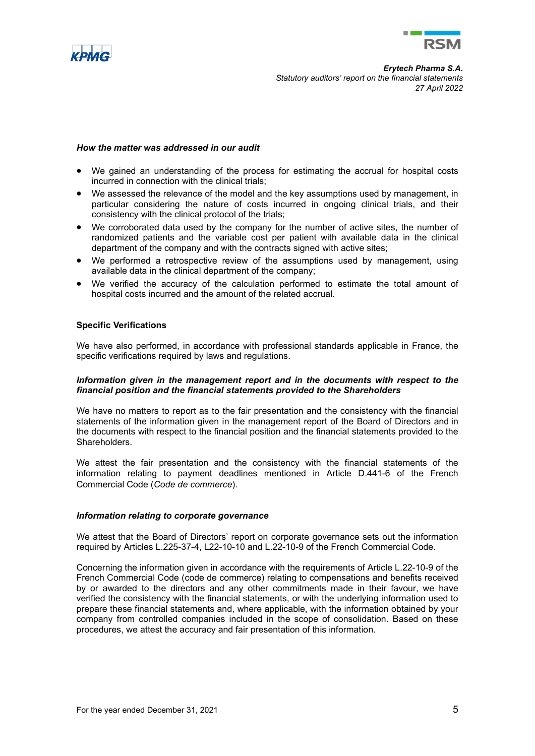



#### *How the matter was addressed in our audit*

- We gained an understanding of the process for estimating the accrual for hospital costs incurred in connection with the clinical trials;
- We assessed the relevance of the model and the key assumptions used by management, in particular considering the nature of costs incurred in ongoing clinical trials, and their consistency with the clinical protocol of the trials;
- We corroborated data used by the company for the number of active sites, the number of randomized patients and the variable cost per patient with available data in the clinical department of the company and with the contracts signed with active sites;
- We performed a retrospective review of the assumptions used by management, using available data in the clinical department of the company;
- We verified the accuracy of the calculation performed to estimate the total amount of hospital costs incurred and the amount of the related accrual.

## **Specific Verifications**

We have also performed, in accordance with professional standards applicable in France, the specific verifications required by laws and regulations.

#### *Information given in the management report and in the documents with respect to the financial position and the financial statements provided to the Shareholders*

We have no matters to report as to the fair presentation and the consistency with the financial statements of the information given in the management report of the Board of Directors and in the documents with respect to the financial position and the financial statements provided to the Shareholders.

We attest the fair presentation and the consistency with the financial statements of the information relating to payment deadlines mentioned in Article D.441-6 of the French Commercial Code (*Code de commerce*).

#### *Information relating to corporate governance*

We attest that the Board of Directors' report on corporate governance sets out the information required by Articles L.225-37-4, L22-10-10 and L.22-10-9 of the French Commercial Code.

Concerning the information given in accordance with the requirements of Article L.22-10-9 of the French Commercial Code (code de commerce) relating to compensations and benefits received by or awarded to the directors and any other commitments made in their favour, we have verified the consistency with the financial statements, or with the underlying information used to prepare these financial statements and, where applicable, with the information obtained by your company from controlled companies included in the scope of consolidation. Based on these procedures, we attest the accuracy and fair presentation of this information.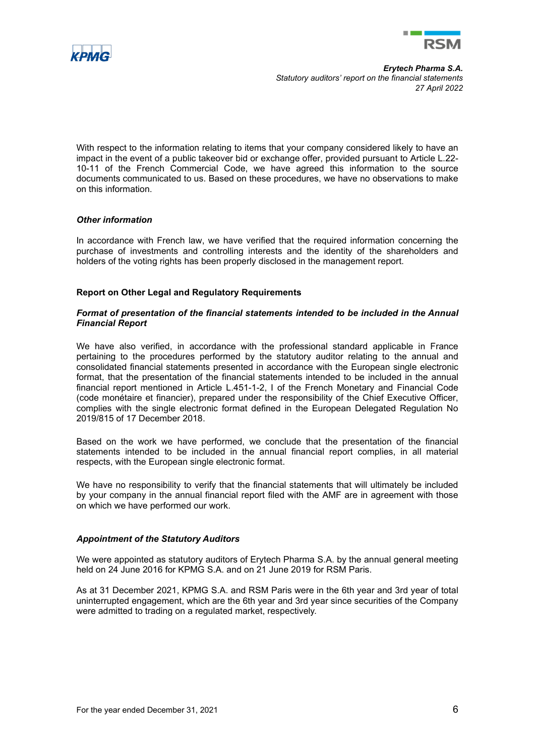



With respect to the information relating to items that your company considered likely to have an impact in the event of a public takeover bid or exchange offer, provided pursuant to Article L.22- 10-11 of the French Commercial Code, we have agreed this information to the source documents communicated to us. Based on these procedures, we have no observations to make on this information.

## *Other information*

In accordance with French law, we have verified that the required information concerning the purchase of investments and controlling interests and the identity of the shareholders and holders of the voting rights has been properly disclosed in the management report.

## **Report on Other Legal and Regulatory Requirements**

## *Format of presentation of the financial statements intended to be included in the Annual Financial Report*

We have also verified, in accordance with the professional standard applicable in France pertaining to the procedures performed by the statutory auditor relating to the annual and consolidated financial statements presented in accordance with the European single electronic format, that the presentation of the financial statements intended to be included in the annual financial report mentioned in Article L.451-1-2, I of the French Monetary and Financial Code (code monétaire et financier), prepared under the responsibility of the Chief Executive Officer, complies with the single electronic format defined in the European Delegated Regulation No 2019/815 of 17 December 2018.

Based on the work we have performed, we conclude that the presentation of the financial statements intended to be included in the annual financial report complies, in all material respects, with the European single electronic format.

We have no responsibility to verify that the financial statements that will ultimately be included by your company in the annual financial report filed with the AMF are in agreement with those on which we have performed our work.

# *Appointment of the Statutory Auditors*

We were appointed as statutory auditors of Erytech Pharma S.A. by the annual general meeting held on 24 June 2016 for KPMG S.A. and on 21 June 2019 for RSM Paris.

As at 31 December 2021, KPMG S.A. and RSM Paris were in the 6th year and 3rd year of total uninterrupted engagement, which are the 6th year and 3rd year since securities of the Company were admitted to trading on a regulated market, respectively.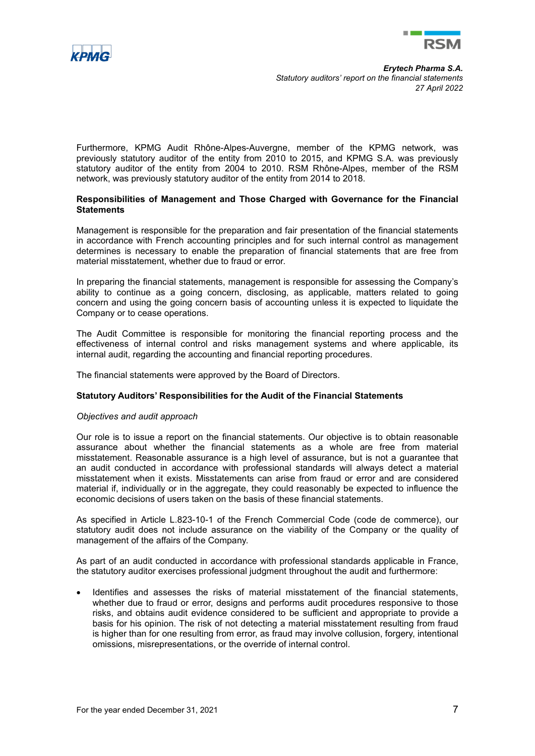



Furthermore, KPMG Audit Rhône-Alpes-Auvergne, member of the KPMG network, was previously statutory auditor of the entity from 2010 to 2015, and KPMG S.A. was previously statutory auditor of the entity from 2004 to 2010. RSM Rhône-Alpes, member of the RSM network, was previously statutory auditor of the entity from 2014 to 2018.

## **Responsibilities of Management and Those Charged with Governance for the Financial Statements**

Management is responsible for the preparation and fair presentation of the financial statements in accordance with French accounting principles and for such internal control as management determines is necessary to enable the preparation of financial statements that are free from material misstatement, whether due to fraud or error.

In preparing the financial statements, management is responsible for assessing the Company's ability to continue as a going concern, disclosing, as applicable, matters related to going concern and using the going concern basis of accounting unless it is expected to liquidate the Company or to cease operations.

The Audit Committee is responsible for monitoring the financial reporting process and the effectiveness of internal control and risks management systems and where applicable, its internal audit, regarding the accounting and financial reporting procedures.

The financial statements were approved by the Board of Directors.

## **Statutory Auditors' Responsibilities for the Audit of the Financial Statements**

## *Objectives and audit approach*

Our role is to issue a report on the financial statements. Our objective is to obtain reasonable assurance about whether the financial statements as a whole are free from material misstatement. Reasonable assurance is a high level of assurance, but is not a guarantee that an audit conducted in accordance with professional standards will always detect a material misstatement when it exists. Misstatements can arise from fraud or error and are considered material if, individually or in the aggregate, they could reasonably be expected to influence the economic decisions of users taken on the basis of these financial statements.

As specified in Article L.823-10-1 of the French Commercial Code (code de commerce), our statutory audit does not include assurance on the viability of the Company or the quality of management of the affairs of the Company.

As part of an audit conducted in accordance with professional standards applicable in France, the statutory auditor exercises professional judgment throughout the audit and furthermore:

• Identifies and assesses the risks of material misstatement of the financial statements, whether due to fraud or error, designs and performs audit procedures responsive to those risks, and obtains audit evidence considered to be sufficient and appropriate to provide a basis for his opinion. The risk of not detecting a material misstatement resulting from fraud is higher than for one resulting from error, as fraud may involve collusion, forgery, intentional omissions, misrepresentations, or the override of internal control.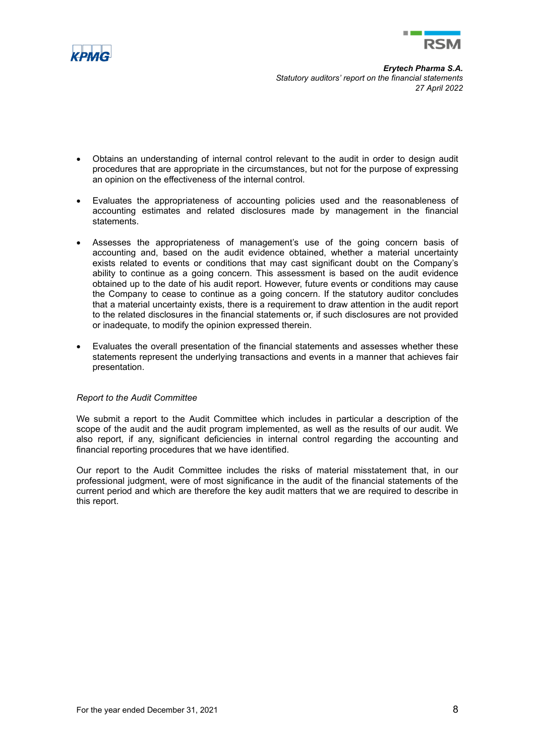



- Obtains an understanding of internal control relevant to the audit in order to design audit procedures that are appropriate in the circumstances, but not for the purpose of expressing an opinion on the effectiveness of the internal control.
- Evaluates the appropriateness of accounting policies used and the reasonableness of accounting estimates and related disclosures made by management in the financial statements.
- Assesses the appropriateness of management's use of the going concern basis of accounting and, based on the audit evidence obtained, whether a material uncertainty exists related to events or conditions that may cast significant doubt on the Company's ability to continue as a going concern. This assessment is based on the audit evidence obtained up to the date of his audit report. However, future events or conditions may cause the Company to cease to continue as a going concern. If the statutory auditor concludes that a material uncertainty exists, there is a requirement to draw attention in the audit report to the related disclosures in the financial statements or, if such disclosures are not provided or inadequate, to modify the opinion expressed therein.
- Evaluates the overall presentation of the financial statements and assesses whether these statements represent the underlying transactions and events in a manner that achieves fair presentation.

## *Report to the Audit Committee*

We submit a report to the Audit Committee which includes in particular a description of the scope of the audit and the audit program implemented, as well as the results of our audit. We also report, if any, significant deficiencies in internal control regarding the accounting and financial reporting procedures that we have identified.

Our report to the Audit Committee includes the risks of material misstatement that, in our professional judgment, were of most significance in the audit of the financial statements of the current period and which are therefore the key audit matters that we are required to describe in this report.